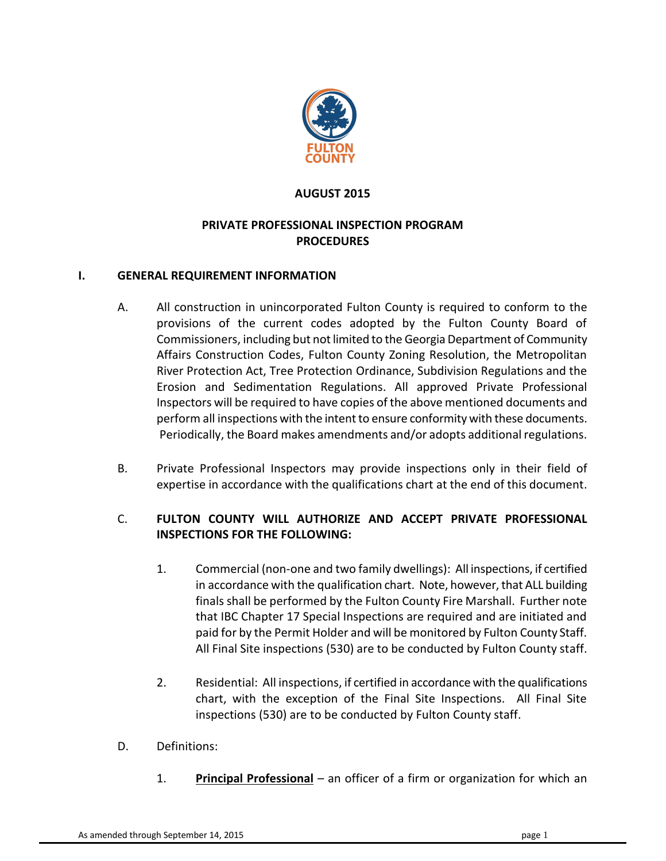

#### **AUGUST 2015**

## **PRIVATE PROFESSIONAL INSPECTION PROGRAM PROCEDURES**

#### **I. GENERAL REQUIREMENT INFORMATION**

- A. All construction in unincorporated Fulton County is required to conform to the provisions of the current codes adopted by the Fulton County Board of Commissioners, including but not limited to the Georgia Department of Community Affairs Construction Codes, Fulton County Zoning Resolution, the Metropolitan River Protection Act, Tree Protection Ordinance, Subdivision Regulations and the Erosion and Sedimentation Regulations. All approved Private Professional Inspectors will be required to have copies of the above mentioned documents and perform all inspections with the intent to ensure conformity with these documents. Periodically, the Board makes amendments and/or adopts additional regulations.
- B. Private Professional Inspectors may provide inspections only in their field of expertise in accordance with the qualifications chart at the end of this document.

## C. **FULTON COUNTY WILL AUTHORIZE AND ACCEPT PRIVATE PROFESSIONAL INSPECTIONS FOR THE FOLLOWING:**

- 1. Commercial (non-one and two family dwellings): All inspections, if certified in accordance with the qualification chart. Note, however, that ALL building finals shall be performed by the Fulton County Fire Marshall. Further note that IBC Chapter 17 Special Inspections are required and are initiated and paid for by the Permit Holder and will be monitored by Fulton County Staff. All Final Site inspections (530) are to be conducted by Fulton County staff.
- 2. Residential: All inspections, if certified in accordance with the qualifications chart, with the exception of the Final Site Inspections. All Final Site inspections (530) are to be conducted by Fulton County staff.
- D. Definitions:
	- 1. **Principal Professional** an officer of a firm or organization for which an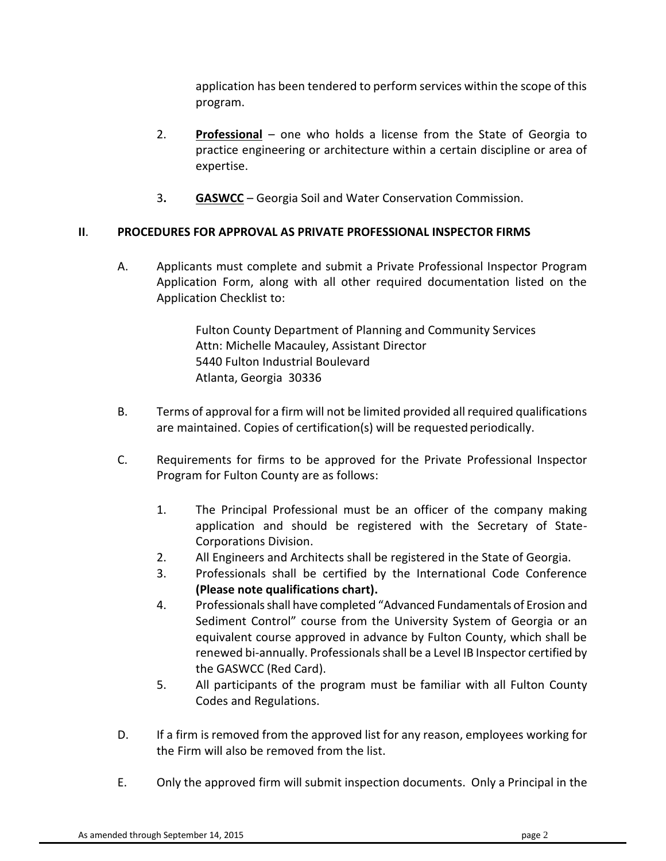application has been tendered to perform services within the scope of this program.

- 2. **Professional** one who holds a license from the State of Georgia to practice engineering or architecture within a certain discipline or area of expertise.
- 3**. GASWCC** Georgia Soil and Water Conservation Commission.

# **II**. **PROCEDURES FOR APPROVAL AS PRIVATE PROFESSIONAL INSPECTOR FIRMS**

A. Applicants must complete and submit a Private Professional Inspector Program Application Form, along with all other required documentation listed on the Application Checklist to:

> Fulton County Department of Planning and Community Services Attn: Michelle Macauley, Assistant Director 5440 Fulton Industrial Boulevard Atlanta, Georgia 30336

- B. Terms of approval for a firm will not be limited provided all required qualifications are maintained. Copies of certification(s) will be requested periodically.
- C. Requirements for firms to be approved for the Private Professional Inspector Program for Fulton County are as follows:
	- 1. The Principal Professional must be an officer of the company making application and should be registered with the Secretary of State-Corporations Division.
	- 2. All Engineers and Architects shall be registered in the State of Georgia.
	- 3. Professionals shall be certified by the International Code Conference **(Please note qualifications chart).**
	- 4. Professionals shall have completed "Advanced Fundamentals of Erosion and Sediment Control" course from the University System of Georgia or an equivalent course approved in advance by Fulton County, which shall be renewed bi-annually. Professionals shall be a Level IB Inspector certified by the GASWCC (Red Card).
	- 5. All participants of the program must be familiar with all Fulton County Codes and Regulations.
- D. If a firm is removed from the approved list for any reason, employees working for the Firm will also be removed from the list.
- E. Only the approved firm will submit inspection documents. Only a Principal in the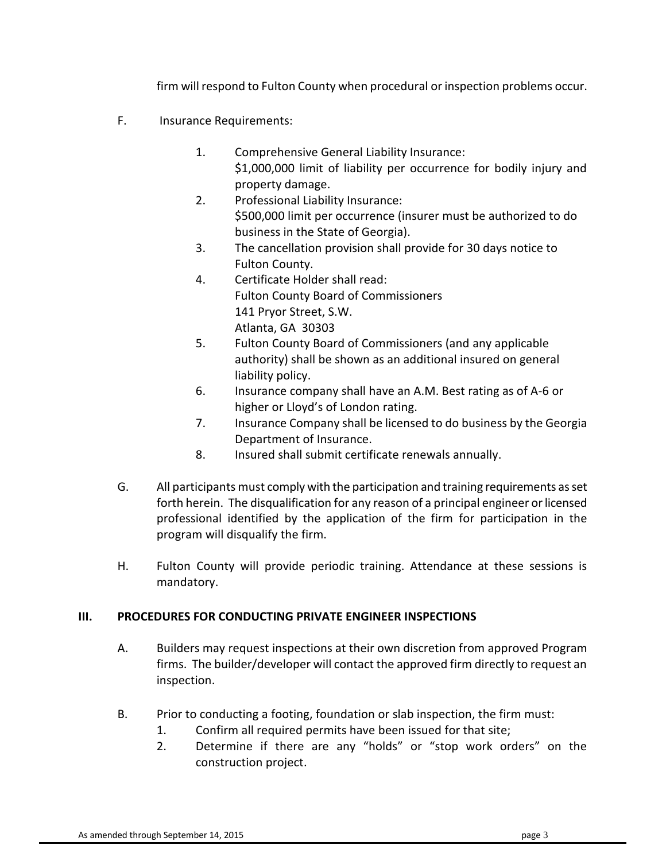firm will respond to Fulton County when procedural or inspection problems occur.

- F. Insurance Requirements:
	- 1. Comprehensive General Liability Insurance: \$1,000,000 limit of liability per occurrence for bodily injury and property damage.
	- 2. Professional Liability Insurance: \$500,000 limit per occurrence (insurer must be authorized to do business in the State of Georgia).
	- 3. The cancellation provision shall provide for 30 days notice to Fulton County.
	- 4. Certificate Holder shall read: Fulton County Board of Commissioners 141 Pryor Street, S.W. Atlanta, GA 30303
	- 5. Fulton County Board of Commissioners (and any applicable authority) shall be shown as an additional insured on general liability policy.
	- 6. Insurance company shall have an A.M. Best rating as of A-6 or higher or Lloyd's of London rating.
	- 7. Insurance Company shall be licensed to do business by the Georgia Department of Insurance.
	- 8. Insured shall submit certificate renewals annually.
- G. All participants must comply with the participation and training requirements as set forth herein. The disqualification for any reason of a principal engineer or licensed professional identified by the application of the firm for participation in the program will disqualify the firm.
- H. Fulton County will provide periodic training. Attendance at these sessions is mandatory.

## **III. PROCEDURES FOR CONDUCTING PRIVATE ENGINEER INSPECTIONS**

- A. Builders may request inspections at their own discretion from approved Program firms. The builder/developer will contact the approved firm directly to request an inspection.
- B. Prior to conducting a footing, foundation or slab inspection, the firm must:
	- 1. Confirm all required permits have been issued for that site;
	- 2. Determine if there are any "holds" or "stop work orders" on the construction project.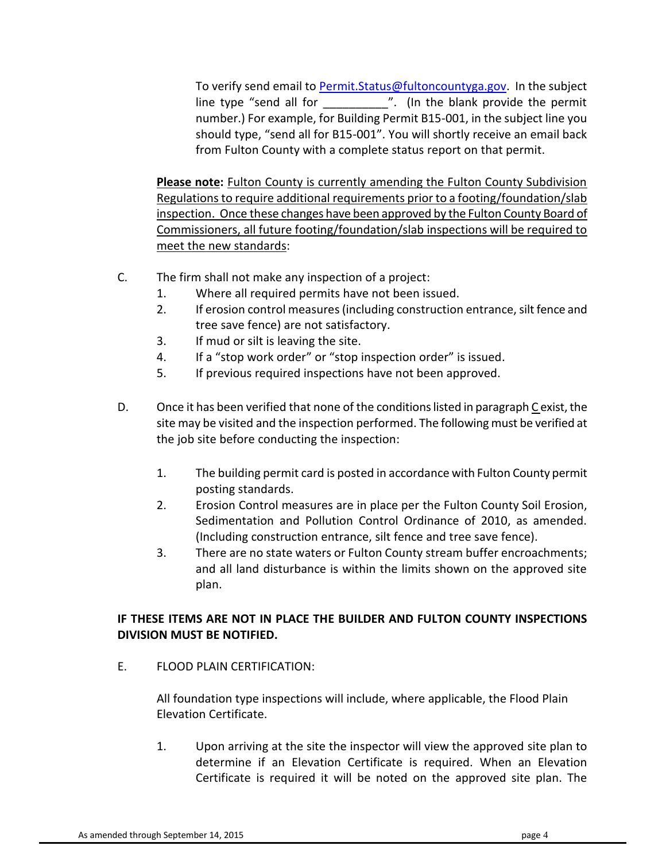To verify send email to **Permit.Status@fultoncountyga.gov**. In the subject line type "send all for The Muslim the blank provide the permit number.) For example, for Building Permit B15-001, in the subject line you should type, "send all for B15-001". You will shortly receive an email back from Fulton County with a complete status report on that permit.

**Please note:** Fulton County is currently amending the Fulton County Subdivision Regulations to require additional requirements prior to a footing/foundation/slab inspection. Once these changes have been approved by the Fulton County Board of Commissioners, all future footing/foundation/slab inspections will be required to meet the new standards:

- C. The firm shall not make any inspection of a project:
	- 1. Where all required permits have not been issued.
	- 2. If erosion control measures (including construction entrance, silt fence and tree save fence) are not satisfactory.
	- 3. If mud or silt is leaving the site.
	- 4. If a "stop work order" or "stop inspection order" is issued.
	- 5. If previous required inspections have not been approved.
- D. Once it has been verified that none of the conditions listed in paragraph C exist, the site may be visited and the inspection performed. The following must be verified at the job site before conducting the inspection:
	- 1. The building permit card is posted in accordance with Fulton County permit posting standards.
	- 2. Erosion Control measures are in place per the Fulton County Soil Erosion, Sedimentation and Pollution Control Ordinance of 2010, as amended. (Including construction entrance, silt fence and tree save fence).
	- 3. There are no state waters or Fulton County stream buffer encroachments; and all land disturbance is within the limits shown on the approved site plan.

# **IF THESE ITEMS ARE NOT IN PLACE THE BUILDER AND FULTON COUNTY INSPECTIONS DIVISION MUST BE NOTIFIED.**

E. FLOOD PLAIN CERTIFICATION:

All foundation type inspections will include, where applicable, the Flood Plain Elevation Certificate.

1. Upon arriving at the site the inspector will view the approved site plan to determine if an Elevation Certificate is required. When an Elevation Certificate is required it will be noted on the approved site plan. The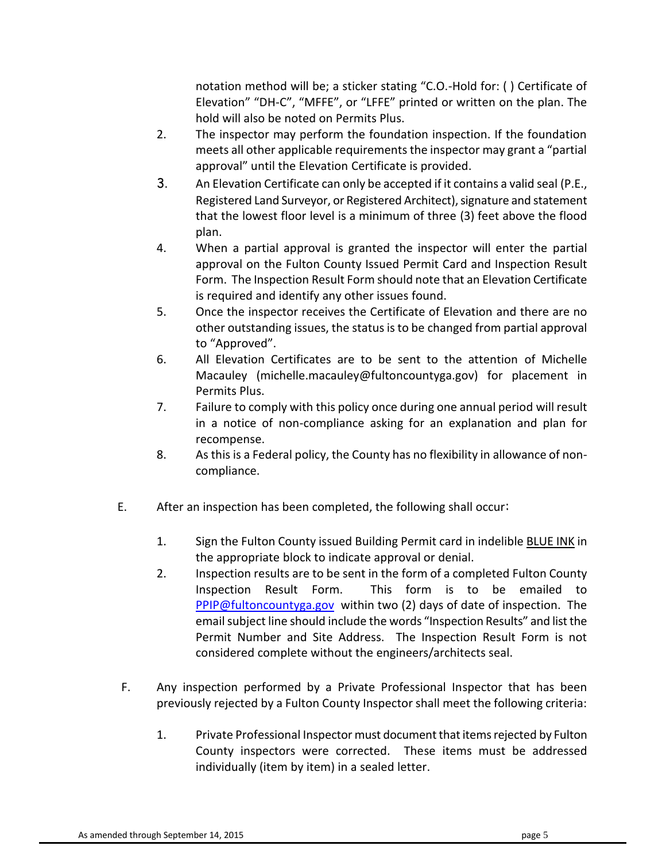notation method will be; a sticker stating "C.O.-Hold for: ( ) Certificate of Elevation" "DH-C", "MFFE", or "LFFE" printed or written on the plan. The hold will also be noted on Permits Plus.

- 2. The inspector may perform the foundation inspection. If the foundation meets all other applicable requirements the inspector may grant a "partial approval" until the Elevation Certificate is provided.
- 3. An Elevation Certificate can only be accepted if it contains a valid seal (P.E., Registered Land Surveyor, or Registered Architect), signature and statement that the lowest floor level is a minimum of three (3) feet above the flood plan.
- 4. When a partial approval is granted the inspector will enter the partial approval on the Fulton County Issued Permit Card and Inspection Result Form. The Inspection Result Form should note that an Elevation Certificate is required and identify any other issues found.
- 5. Once the inspector receives the Certificate of Elevation and there are no other outstanding issues, the status is to be changed from partial approval to "Approved".
- 6. All Elevation Certificates are to be sent to the attention of Michelle Macauley (michelle.macauley@fultoncountyga.gov) for placement in Permits Plus.
- 7. Failure to comply with this policy once during one annual period will result in a notice of non-compliance asking for an explanation and plan for recompense.
- 8. As this is a Federal policy, the County has no flexibility in allowance of noncompliance.
- E. After an inspection has been completed, the following shall occur:
	- 1. Sign the Fulton County issued Building Permit card in indelible BLUE INK in the appropriate block to indicate approval or denial.
	- 2. Inspection results are to be sent in the form of a completed Fulton County Inspection Result Form. This form is to be emailed to [PPIP@fultoncountyga.gov](mailto:PPIP@fultoncountyga.gov) within two (2) days of date of inspection. The email subject line should include the words "Inspection Results" and list the Permit Number and Site Address. The Inspection Result Form is not considered complete without the engineers/architects seal.
- F. Any inspection performed by a Private Professional Inspector that has been previously rejected by a Fulton County Inspector shall meet the following criteria:
	- 1. Private Professional Inspector must document that items rejected by Fulton County inspectors were corrected. These items must be addressed individually (item by item) in a sealed letter.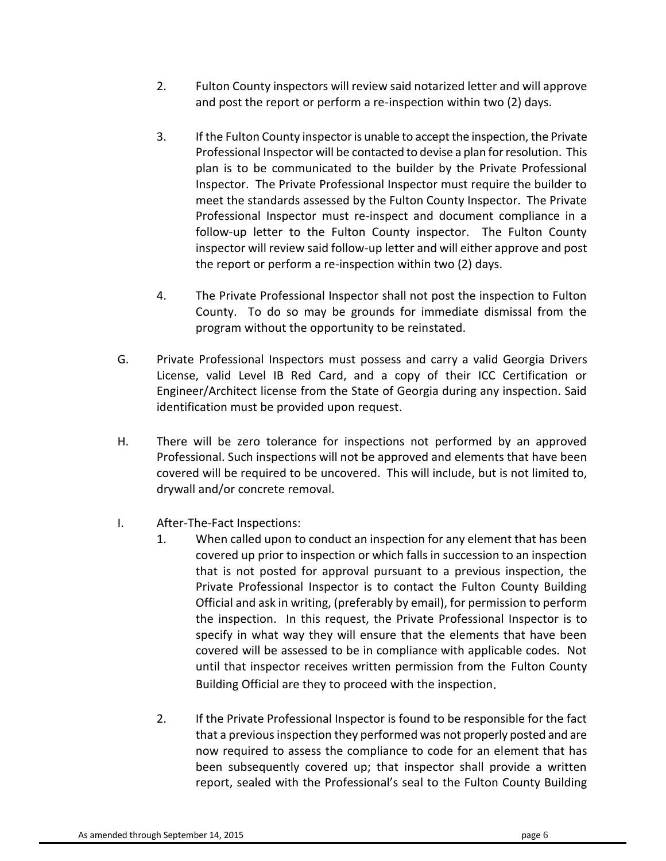- 2. Fulton County inspectors will review said notarized letter and will approve and post the report or perform a re-inspection within two (2) days.
- 3. If the Fulton County inspector is unable to accept the inspection, the Private Professional Inspector will be contacted to devise a plan for resolution. This plan is to be communicated to the builder by the Private Professional Inspector. The Private Professional Inspector must require the builder to meet the standards assessed by the Fulton County Inspector. The Private Professional Inspector must re-inspect and document compliance in a follow-up letter to the Fulton County inspector. The Fulton County inspector will review said follow-up letter and will either approve and post the report or perform a re-inspection within two (2) days.
- 4. The Private Professional Inspector shall not post the inspection to Fulton County. To do so may be grounds for immediate dismissal from the program without the opportunity to be reinstated.
- G. Private Professional Inspectors must possess and carry a valid Georgia Drivers License, valid Level IB Red Card, and a copy of their ICC Certification or Engineer/Architect license from the State of Georgia during any inspection. Said identification must be provided upon request.
- H. There will be zero tolerance for inspections not performed by an approved Professional. Such inspections will not be approved and elements that have been covered will be required to be uncovered. This will include, but is not limited to, drywall and/or concrete removal.
- I. After-The-Fact Inspections:
	- 1. When called upon to conduct an inspection for any element that has been covered up prior to inspection or which falls in succession to an inspection that is not posted for approval pursuant to a previous inspection, the Private Professional Inspector is to contact the Fulton County Building Official and ask in writing, (preferably by email), for permission to perform the inspection. In this request, the Private Professional Inspector is to specify in what way they will ensure that the elements that have been covered will be assessed to be in compliance with applicable codes. Not until that inspector receives written permission from the Fulton County Building Official are they to proceed with the inspection.
	- 2. If the Private Professional Inspector is found to be responsible for the fact that a previous inspection they performed was not properly posted and are now required to assess the compliance to code for an element that has been subsequently covered up; that inspector shall provide a written report, sealed with the Professional's seal to the Fulton County Building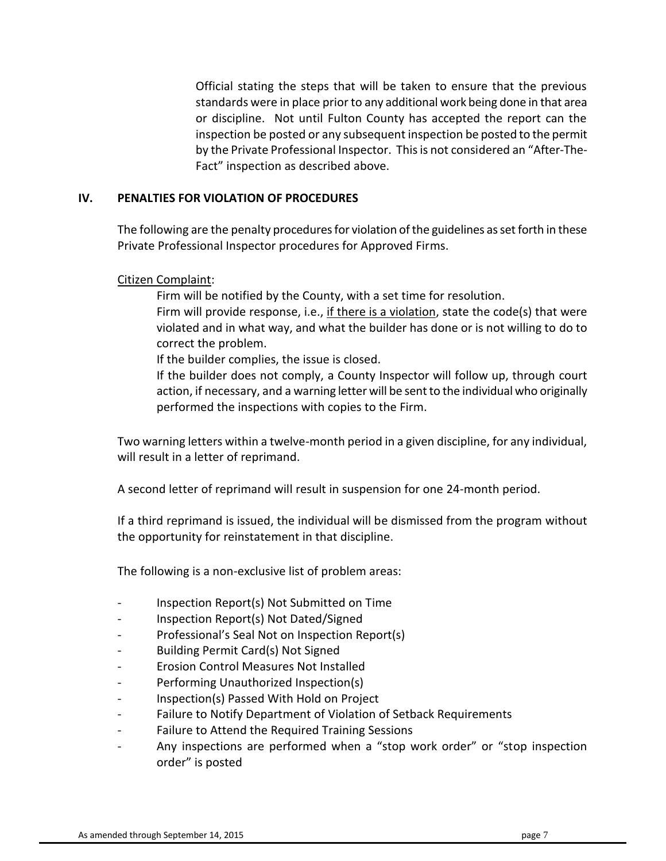Official stating the steps that will be taken to ensure that the previous standards were in place prior to any additional work being done in that area or discipline. Not until Fulton County has accepted the report can the inspection be posted or any subsequent inspection be posted to the permit by the Private Professional Inspector. This is not considered an "After-The-Fact" inspection as described above.

#### **IV. PENALTIES FOR VIOLATION OF PROCEDURES**

The following are the penalty procedures for violation of the guidelines as set forth in these Private Professional Inspector procedures for Approved Firms.

Citizen Complaint:

Firm will be notified by the County, with a set time for resolution.

Firm will provide response, i.e., if there is a violation, state the code(s) that were violated and in what way, and what the builder has done or is not willing to do to correct the problem.

If the builder complies, the issue is closed.

If the builder does not comply, a County Inspector will follow up, through court action, if necessary, and a warning letter will be sent to the individual who originally performed the inspections with copies to the Firm.

Two warning letters within a twelve-month period in a given discipline, for any individual, will result in a letter of reprimand.

A second letter of reprimand will result in suspension for one 24-month period.

If a third reprimand is issued, the individual will be dismissed from the program without the opportunity for reinstatement in that discipline.

The following is a non-exclusive list of problem areas:

- Inspection Report(s) Not Submitted on Time
- Inspection Report(s) Not Dated/Signed
- Professional's Seal Not on Inspection Report(s)
- Building Permit Card(s) Not Signed
- Erosion Control Measures Not Installed
- Performing Unauthorized Inspection(s)
- Inspection(s) Passed With Hold on Project
- Failure to Notify Department of Violation of Setback Requirements
- Failure to Attend the Required Training Sessions
- Any inspections are performed when a "stop work order" or "stop inspection order" is posted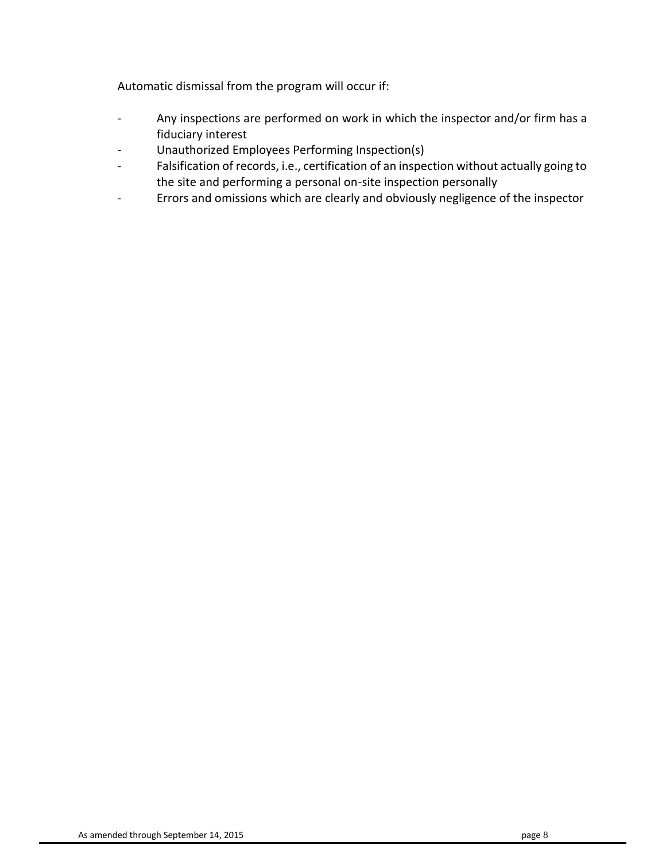Automatic dismissal from the program will occur if:

- Any inspections are performed on work in which the inspector and/or firm has a fiduciary interest
- Unauthorized Employees Performing Inspection(s)
- Falsification of records, i.e., certification of an inspection without actually going to the site and performing a personal on-site inspection personally
- Errors and omissions which are clearly and obviously negligence of the inspector